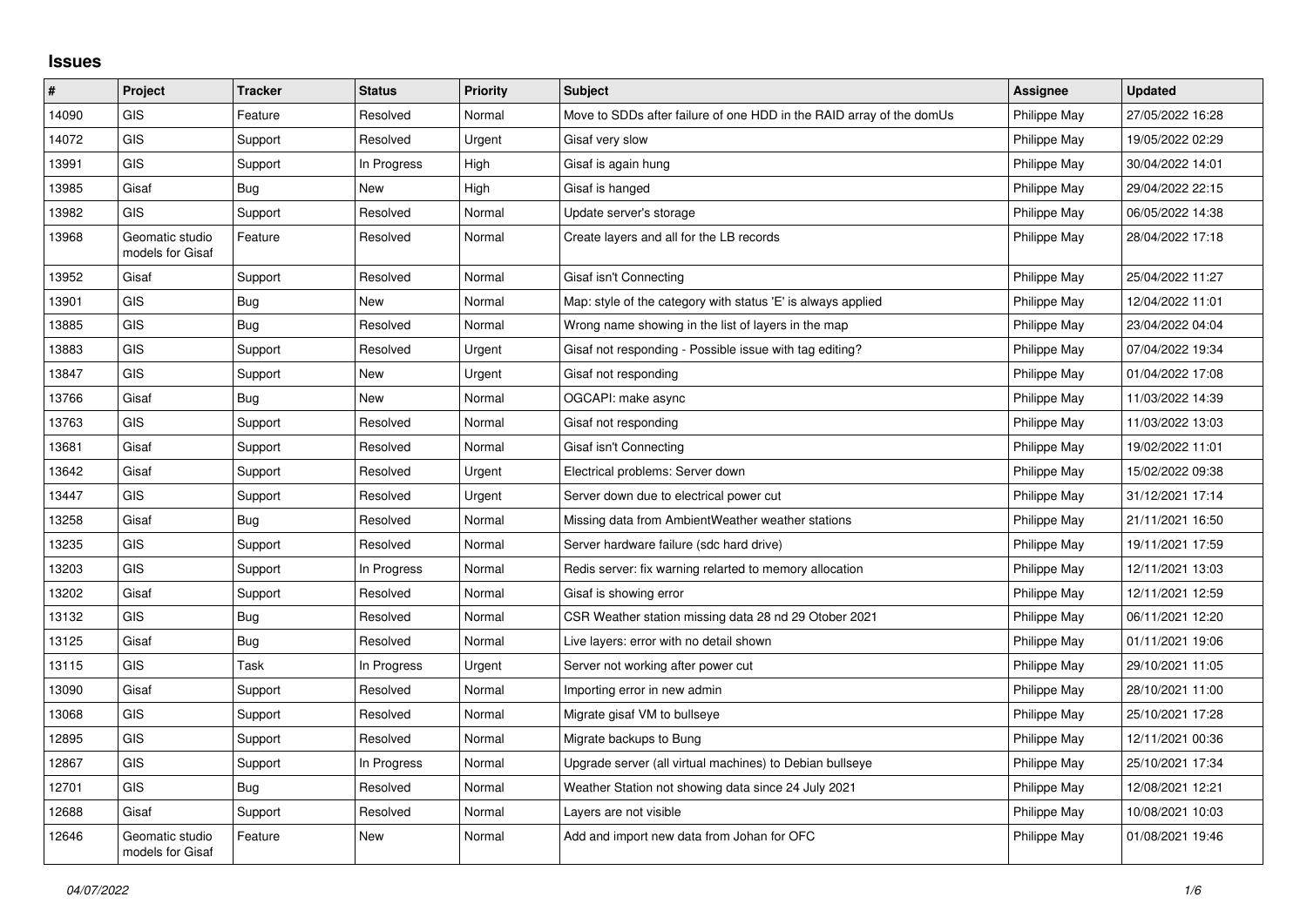## **Issues**

| #     | Project                             | <b>Tracker</b> | <b>Status</b> | <b>Priority</b> | <b>Subject</b>                                                       | Assignee     | <b>Updated</b>   |
|-------|-------------------------------------|----------------|---------------|-----------------|----------------------------------------------------------------------|--------------|------------------|
| 14090 | <b>GIS</b>                          | Feature        | Resolved      | Normal          | Move to SDDs after failure of one HDD in the RAID array of the domUs | Philippe May | 27/05/2022 16:28 |
| 14072 | GIS                                 | Support        | Resolved      | Urgent          | Gisaf very slow                                                      | Philippe May | 19/05/2022 02:29 |
| 13991 | <b>GIS</b>                          | Support        | In Progress   | High            | Gisaf is again hung                                                  | Philippe May | 30/04/2022 14:01 |
| 13985 | Gisaf                               | Bug            | <b>New</b>    | High            | Gisaf is hanged                                                      | Philippe May | 29/04/2022 22:15 |
| 13982 | GIS                                 | Support        | Resolved      | Normal          | Update server's storage                                              | Philippe May | 06/05/2022 14:38 |
| 13968 | Geomatic studio<br>models for Gisaf | Feature        | Resolved      | Normal          | Create layers and all for the LB records                             | Philippe May | 28/04/2022 17:18 |
| 13952 | Gisaf                               | Support        | Resolved      | Normal          | Gisaf isn't Connecting                                               | Philippe May | 25/04/2022 11:27 |
| 13901 | GIS                                 | Bug            | <b>New</b>    | Normal          | Map: style of the category with status 'E' is always applied         | Philippe May | 12/04/2022 11:01 |
| 13885 | <b>GIS</b>                          | Bug            | Resolved      | Normal          | Wrong name showing in the list of layers in the map                  | Philippe May | 23/04/2022 04:04 |
| 13883 | <b>GIS</b>                          | Support        | Resolved      | Urgent          | Gisaf not responding - Possible issue with tag editing?              | Philippe May | 07/04/2022 19:34 |
| 13847 | GIS                                 | Support        | New           | Urgent          | Gisaf not responding                                                 | Philippe May | 01/04/2022 17:08 |
| 13766 | Gisaf                               | Bug            | <b>New</b>    | Normal          | OGCAPI: make async                                                   | Philippe May | 11/03/2022 14:39 |
| 13763 | <b>GIS</b>                          | Support        | Resolved      | Normal          | Gisaf not responding                                                 | Philippe May | 11/03/2022 13:03 |
| 13681 | Gisaf                               | Support        | Resolved      | Normal          | Gisaf isn't Connecting                                               | Philippe May | 19/02/2022 11:01 |
| 13642 | Gisaf                               | Support        | Resolved      | Urgent          | Electrical problems: Server down                                     | Philippe May | 15/02/2022 09:38 |
| 13447 | <b>GIS</b>                          | Support        | Resolved      | Urgent          | Server down due to electrical power cut                              | Philippe May | 31/12/2021 17:14 |
| 13258 | Gisaf                               | Bug            | Resolved      | Normal          | Missing data from Ambient Weather weather stations                   | Philippe May | 21/11/2021 16:50 |
| 13235 | GIS                                 | Support        | Resolved      | Normal          | Server hardware failure (sdc hard drive)                             | Philippe May | 19/11/2021 17:59 |
| 13203 | <b>GIS</b>                          | Support        | In Progress   | Normal          | Redis server: fix warning relarted to memory allocation              | Philippe May | 12/11/2021 13:03 |
| 13202 | Gisaf                               | Support        | Resolved      | Normal          | Gisaf is showing error                                               | Philippe May | 12/11/2021 12:59 |
| 13132 | <b>GIS</b>                          | Bug            | Resolved      | Normal          | CSR Weather station missing data 28 nd 29 Otober 2021                | Philippe May | 06/11/2021 12:20 |
| 13125 | Gisaf                               | Bug            | Resolved      | Normal          | Live layers: error with no detail shown                              | Philippe May | 01/11/2021 19:06 |
| 13115 | GIS                                 | Task           | In Progress   | Urgent          | Server not working after power cut                                   | Philippe May | 29/10/2021 11:05 |
| 13090 | Gisaf                               | Support        | Resolved      | Normal          | Importing error in new admin                                         | Philippe May | 28/10/2021 11:00 |
| 13068 | GIS                                 | Support        | Resolved      | Normal          | Migrate gisaf VM to bullseye                                         | Philippe May | 25/10/2021 17:28 |
| 12895 | GIS                                 | Support        | Resolved      | Normal          | Migrate backups to Bung                                              | Philippe May | 12/11/2021 00:36 |
| 12867 | <b>GIS</b>                          | Support        | In Progress   | Normal          | Upgrade server (all virtual machines) to Debian bullseye             | Philippe May | 25/10/2021 17:34 |
| 12701 | <b>GIS</b>                          | Bug            | Resolved      | Normal          | Weather Station not showing data since 24 July 2021                  | Philippe May | 12/08/2021 12:21 |
| 12688 | Gisaf                               | Support        | Resolved      | Normal          | Layers are not visible                                               | Philippe May | 10/08/2021 10:03 |
| 12646 | Geomatic studio<br>models for Gisaf | Feature        | <b>New</b>    | Normal          | Add and import new data from Johan for OFC                           | Philippe May | 01/08/2021 19:46 |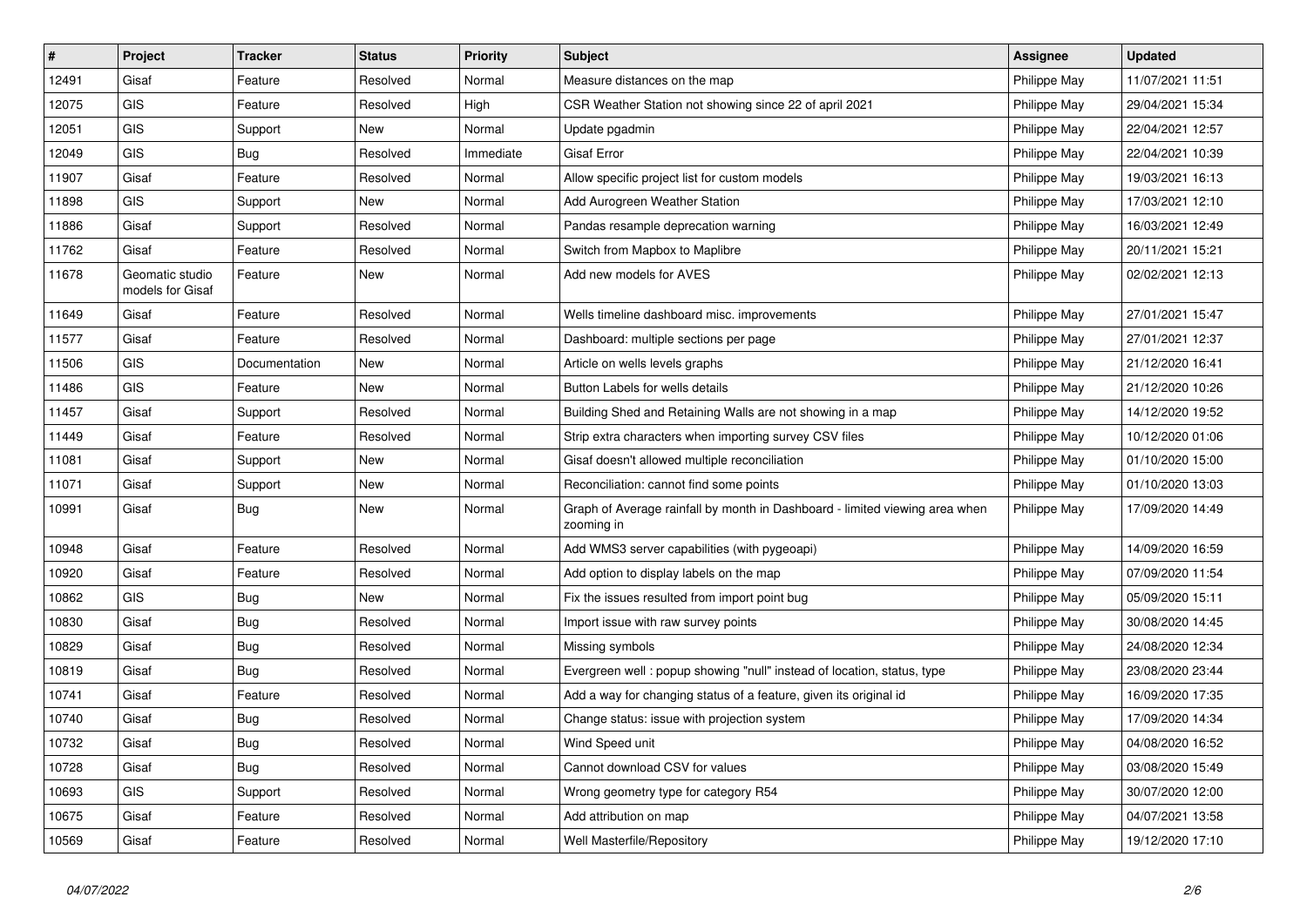| $\vert$ # | Project                             | <b>Tracker</b> | <b>Status</b> | <b>Priority</b> | <b>Subject</b>                                                                            | <b>Assignee</b> | <b>Updated</b>   |
|-----------|-------------------------------------|----------------|---------------|-----------------|-------------------------------------------------------------------------------------------|-----------------|------------------|
| 12491     | Gisaf                               | Feature        | Resolved      | Normal          | Measure distances on the map                                                              | Philippe May    | 11/07/2021 11:51 |
| 12075     | <b>GIS</b>                          | Feature        | Resolved      | High            | CSR Weather Station not showing since 22 of april 2021                                    | Philippe May    | 29/04/2021 15:34 |
| 12051     | <b>GIS</b>                          | Support        | New           | Normal          | Update pgadmin                                                                            | Philippe May    | 22/04/2021 12:57 |
| 12049     | <b>GIS</b>                          | <b>Bug</b>     | Resolved      | Immediate       | Gisaf Error                                                                               | Philippe May    | 22/04/2021 10:39 |
| 11907     | Gisaf                               | Feature        | Resolved      | Normal          | Allow specific project list for custom models                                             | Philippe May    | 19/03/2021 16:13 |
| 11898     | <b>GIS</b>                          | Support        | <b>New</b>    | Normal          | Add Aurogreen Weather Station                                                             | Philippe May    | 17/03/2021 12:10 |
| 11886     | Gisaf                               | Support        | Resolved      | Normal          | Pandas resample deprecation warning                                                       | Philippe May    | 16/03/2021 12:49 |
| 11762     | Gisaf                               | Feature        | Resolved      | Normal          | Switch from Mapbox to Maplibre                                                            | Philippe May    | 20/11/2021 15:21 |
| 11678     | Geomatic studio<br>models for Gisaf | Feature        | New           | Normal          | Add new models for AVES                                                                   | Philippe May    | 02/02/2021 12:13 |
| 11649     | Gisaf                               | Feature        | Resolved      | Normal          | Wells timeline dashboard misc. improvements                                               | Philippe May    | 27/01/2021 15:47 |
| 11577     | Gisaf                               | Feature        | Resolved      | Normal          | Dashboard: multiple sections per page                                                     | Philippe May    | 27/01/2021 12:37 |
| 11506     | <b>GIS</b>                          | Documentation  | New           | Normal          | Article on wells levels graphs                                                            | Philippe May    | 21/12/2020 16:41 |
| 11486     | <b>GIS</b>                          | Feature        | New           | Normal          | Button Labels for wells details                                                           | Philippe May    | 21/12/2020 10:26 |
| 11457     | Gisaf                               | Support        | Resolved      | Normal          | Building Shed and Retaining Walls are not showing in a map                                | Philippe May    | 14/12/2020 19:52 |
| 11449     | Gisaf                               | Feature        | Resolved      | Normal          | Strip extra characters when importing survey CSV files                                    | Philippe May    | 10/12/2020 01:06 |
| 11081     | Gisaf                               | Support        | New           | Normal          | Gisaf doesn't allowed multiple reconciliation                                             | Philippe May    | 01/10/2020 15:00 |
| 11071     | Gisaf                               | Support        | New           | Normal          | Reconciliation: cannot find some points                                                   | Philippe May    | 01/10/2020 13:03 |
| 10991     | Gisaf                               | Bug            | New           | Normal          | Graph of Average rainfall by month in Dashboard - limited viewing area when<br>zooming in | Philippe May    | 17/09/2020 14:49 |
| 10948     | Gisaf                               | Feature        | Resolved      | Normal          | Add WMS3 server capabilities (with pygeoapi)                                              | Philippe May    | 14/09/2020 16:59 |
| 10920     | Gisaf                               | Feature        | Resolved      | Normal          | Add option to display labels on the map                                                   | Philippe May    | 07/09/2020 11:54 |
| 10862     | <b>GIS</b>                          | <b>Bug</b>     | New           | Normal          | Fix the issues resulted from import point bug                                             | Philippe May    | 05/09/2020 15:11 |
| 10830     | Gisaf                               | <b>Bug</b>     | Resolved      | Normal          | Import issue with raw survey points                                                       | Philippe May    | 30/08/2020 14:45 |
| 10829     | Gisaf                               | <b>Bug</b>     | Resolved      | Normal          | Missing symbols                                                                           | Philippe May    | 24/08/2020 12:34 |
| 10819     | Gisaf                               | Bug            | Resolved      | Normal          | Evergreen well: popup showing "null" instead of location, status, type                    | Philippe May    | 23/08/2020 23:44 |
| 10741     | Gisaf                               | Feature        | Resolved      | Normal          | Add a way for changing status of a feature, given its original id                         | Philippe May    | 16/09/2020 17:35 |
| 10740     | Gisaf                               | Bug            | Resolved      | Normal          | Change status: issue with projection system                                               | Philippe May    | 17/09/2020 14:34 |
| 10732     | Gisaf                               | Bug            | Resolved      | Normal          | Wind Speed unit                                                                           | Philippe May    | 04/08/2020 16:52 |
| 10728     | Gisaf                               | Bug            | Resolved      | Normal          | Cannot download CSV for values                                                            | Philippe May    | 03/08/2020 15:49 |
| 10693     | <b>GIS</b>                          | Support        | Resolved      | Normal          | Wrong geometry type for category R54                                                      | Philippe May    | 30/07/2020 12:00 |
| 10675     | Gisaf                               | Feature        | Resolved      | Normal          | Add attribution on map                                                                    | Philippe May    | 04/07/2021 13:58 |
| 10569     | Gisaf                               | Feature        | Resolved      | Normal          | <b>Well Masterfile/Repository</b>                                                         | Philippe May    | 19/12/2020 17:10 |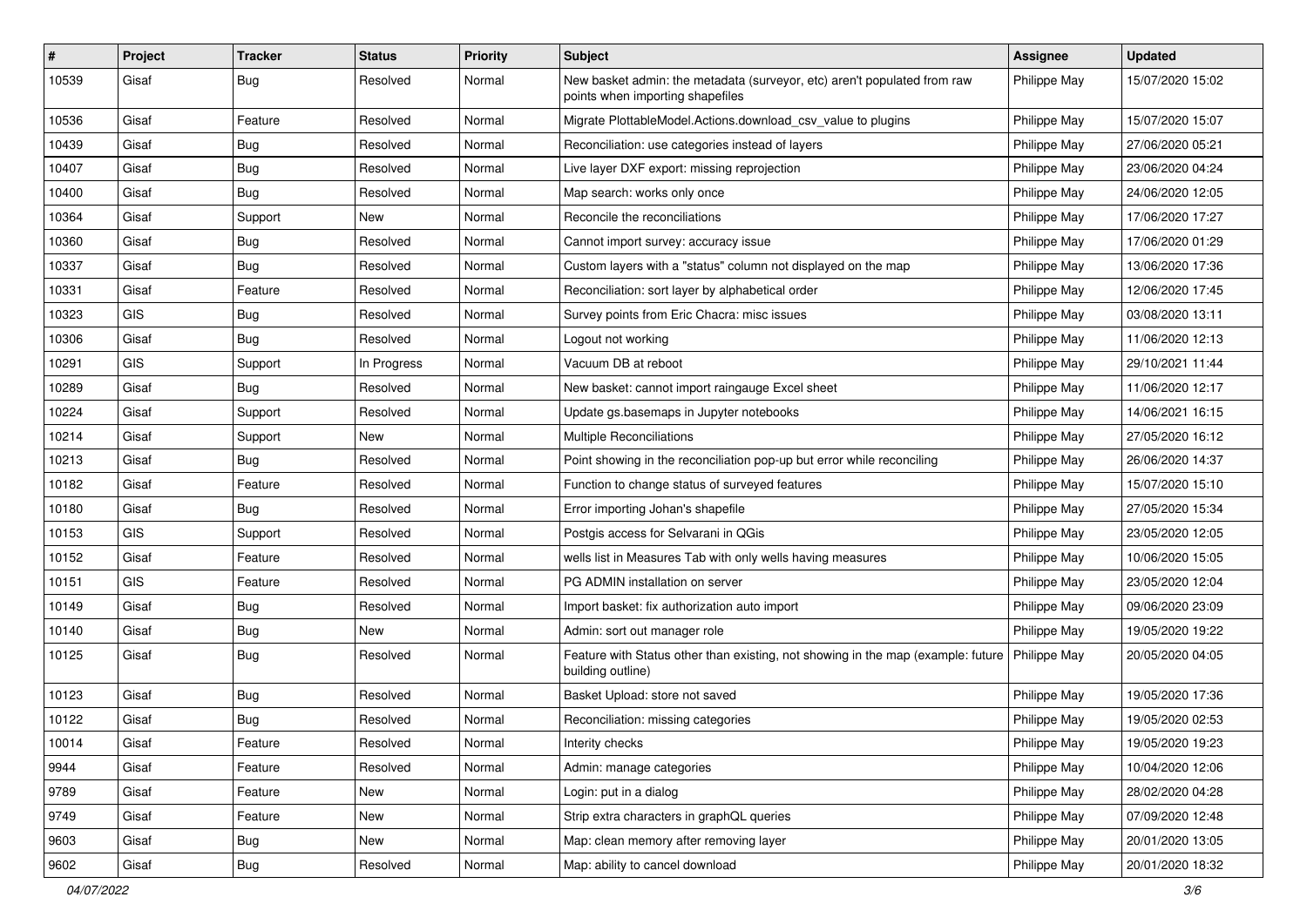| #     | Project    | <b>Tracker</b> | <b>Status</b> | <b>Priority</b> | Subject                                                                                                      | <b>Assignee</b> | <b>Updated</b>   |
|-------|------------|----------------|---------------|-----------------|--------------------------------------------------------------------------------------------------------------|-----------------|------------------|
| 10539 | Gisaf      | <b>Bug</b>     | Resolved      | Normal          | New basket admin: the metadata (surveyor, etc) aren't populated from raw<br>points when importing shapefiles | Philippe May    | 15/07/2020 15:02 |
| 10536 | Gisaf      | Feature        | Resolved      | Normal          | Migrate PlottableModel.Actions.download csv value to plugins                                                 | Philippe May    | 15/07/2020 15:07 |
| 10439 | Gisaf      | <b>Bug</b>     | Resolved      | Normal          | Reconciliation: use categories instead of layers                                                             | Philippe May    | 27/06/2020 05:21 |
| 10407 | Gisaf      | Bug            | Resolved      | Normal          | Live layer DXF export: missing reprojection                                                                  | Philippe May    | 23/06/2020 04:24 |
| 10400 | Gisaf      | <b>Bug</b>     | Resolved      | Normal          | Map search: works only once                                                                                  | Philippe May    | 24/06/2020 12:05 |
| 10364 | Gisaf      | Support        | New           | Normal          | Reconcile the reconciliations                                                                                | Philippe May    | 17/06/2020 17:27 |
| 10360 | Gisaf      | Bug            | Resolved      | Normal          | Cannot import survey: accuracy issue                                                                         | Philippe May    | 17/06/2020 01:29 |
| 10337 | Gisaf      | <b>Bug</b>     | Resolved      | Normal          | Custom layers with a "status" column not displayed on the map                                                | Philippe May    | 13/06/2020 17:36 |
| 10331 | Gisaf      | Feature        | Resolved      | Normal          | Reconciliation: sort layer by alphabetical order                                                             | Philippe May    | 12/06/2020 17:45 |
| 10323 | <b>GIS</b> | <b>Bug</b>     | Resolved      | Normal          | Survey points from Eric Chacra: misc issues                                                                  | Philippe May    | 03/08/2020 13:11 |
| 10306 | Gisaf      | Bug            | Resolved      | Normal          | Logout not working                                                                                           | Philippe May    | 11/06/2020 12:13 |
| 10291 | GIS        | Support        | In Progress   | Normal          | Vacuum DB at reboot                                                                                          | Philippe May    | 29/10/2021 11:44 |
| 10289 | Gisaf      | Bug            | Resolved      | Normal          | New basket: cannot import raingauge Excel sheet                                                              | Philippe May    | 11/06/2020 12:17 |
| 10224 | Gisaf      | Support        | Resolved      | Normal          | Update gs.basemaps in Jupyter notebooks                                                                      | Philippe May    | 14/06/2021 16:15 |
| 10214 | Gisaf      | Support        | <b>New</b>    | Normal          | <b>Multiple Reconciliations</b>                                                                              | Philippe May    | 27/05/2020 16:12 |
| 10213 | Gisaf      | <b>Bug</b>     | Resolved      | Normal          | Point showing in the reconciliation pop-up but error while reconciling                                       | Philippe May    | 26/06/2020 14:37 |
| 10182 | Gisaf      | Feature        | Resolved      | Normal          | Function to change status of surveyed features                                                               | Philippe May    | 15/07/2020 15:10 |
| 10180 | Gisaf      | Bug            | Resolved      | Normal          | Error importing Johan's shapefile                                                                            | Philippe May    | 27/05/2020 15:34 |
| 10153 | <b>GIS</b> | Support        | Resolved      | Normal          | Postgis access for Selvarani in QGis                                                                         | Philippe May    | 23/05/2020 12:05 |
| 10152 | Gisaf      | Feature        | Resolved      | Normal          | wells list in Measures Tab with only wells having measures                                                   | Philippe May    | 10/06/2020 15:05 |
| 10151 | GIS        | Feature        | Resolved      | Normal          | PG ADMIN installation on server                                                                              | Philippe May    | 23/05/2020 12:04 |
| 10149 | Gisaf      | Bug            | Resolved      | Normal          | Import basket: fix authorization auto import                                                                 | Philippe May    | 09/06/2020 23:09 |
| 10140 | Gisaf      | <b>Bug</b>     | New           | Normal          | Admin: sort out manager role                                                                                 | Philippe May    | 19/05/2020 19:22 |
| 10125 | Gisaf      | <b>Bug</b>     | Resolved      | Normal          | Feature with Status other than existing, not showing in the map (example: future<br>building outline)        | Philippe May    | 20/05/2020 04:05 |
| 10123 | Gisaf      | <b>Bug</b>     | Resolved      | Normal          | Basket Upload: store not saved                                                                               | Philippe May    | 19/05/2020 17:36 |
| 10122 | Gisaf      | <b>Bug</b>     | Resolved      | Normal          | Reconciliation: missing categories                                                                           | Philippe May    | 19/05/2020 02:53 |
| 10014 | Gisaf      | Feature        | Resolved      | Normal          | Interity checks                                                                                              | Philippe May    | 19/05/2020 19:23 |
| 9944  | Gisaf      | Feature        | Resolved      | Normal          | Admin: manage categories                                                                                     | Philippe May    | 10/04/2020 12:06 |
| 9789  | Gisaf      | Feature        | New           | Normal          | Login: put in a dialog                                                                                       | Philippe May    | 28/02/2020 04:28 |
| 9749  | Gisaf      | Feature        | New           | Normal          | Strip extra characters in graphQL queries                                                                    | Philippe May    | 07/09/2020 12:48 |
| 9603  | Gisaf      | <b>Bug</b>     | New           | Normal          | Map: clean memory after removing layer                                                                       | Philippe May    | 20/01/2020 13:05 |
| 9602  | Gisaf      | Bug            | Resolved      | Normal          | Map: ability to cancel download                                                                              | Philippe May    | 20/01/2020 18:32 |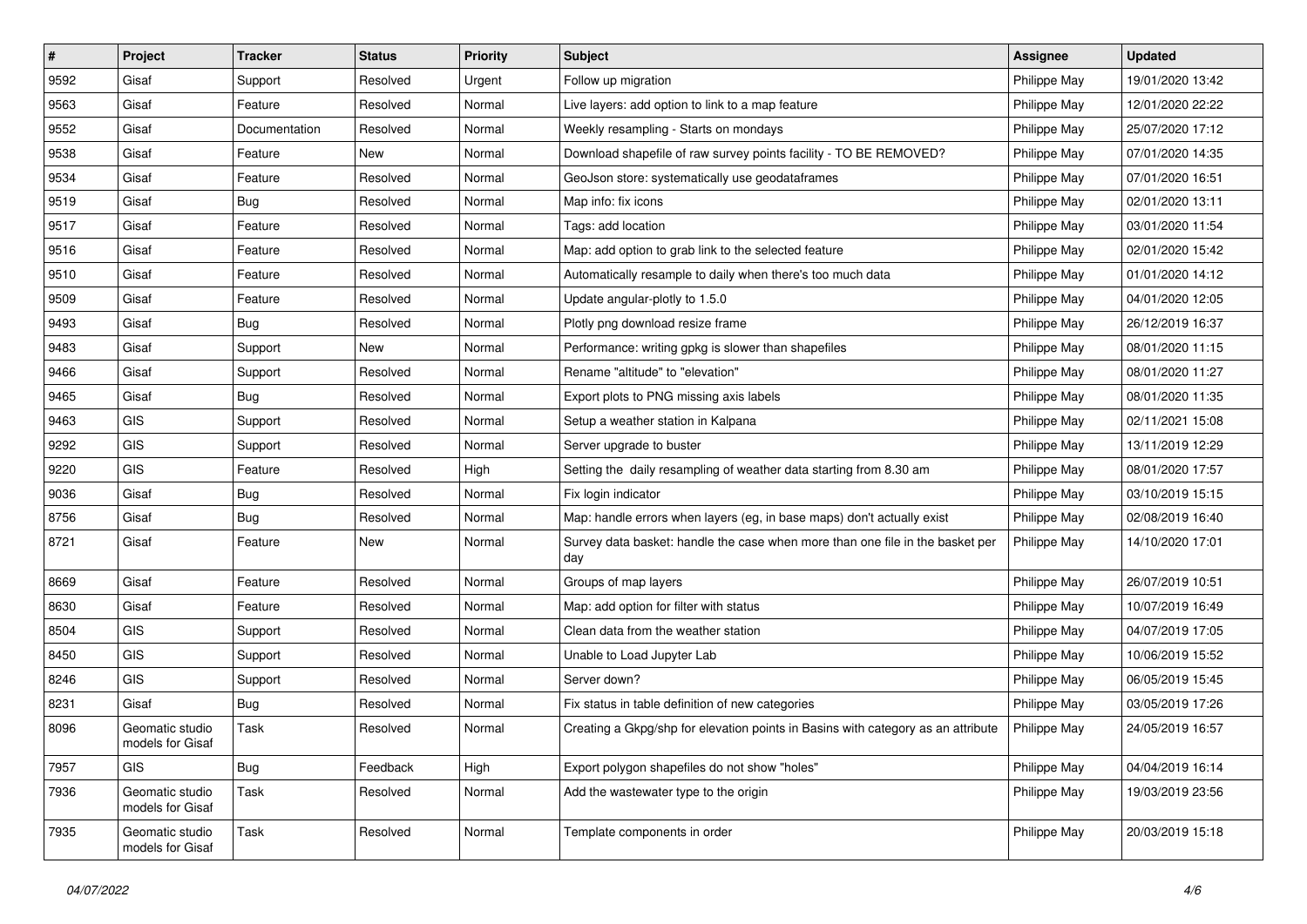| $\vert$ # | Project                             | <b>Tracker</b> | <b>Status</b> | <b>Priority</b> | Subject                                                                              | Assignee     | <b>Updated</b>   |
|-----------|-------------------------------------|----------------|---------------|-----------------|--------------------------------------------------------------------------------------|--------------|------------------|
| 9592      | Gisaf                               | Support        | Resolved      | Urgent          | Follow up migration                                                                  | Philippe May | 19/01/2020 13:42 |
| 9563      | Gisaf                               | Feature        | Resolved      | Normal          | Live layers: add option to link to a map feature                                     | Philippe May | 12/01/2020 22:22 |
| 9552      | Gisaf                               | Documentation  | Resolved      | Normal          | Weekly resampling - Starts on mondays                                                | Philippe May | 25/07/2020 17:12 |
| 9538      | Gisaf                               | Feature        | New           | Normal          | Download shapefile of raw survey points facility - TO BE REMOVED?                    | Philippe May | 07/01/2020 14:35 |
| 9534      | Gisaf                               | Feature        | Resolved      | Normal          | GeoJson store: systematically use geodataframes                                      | Philippe May | 07/01/2020 16:51 |
| 9519      | Gisaf                               | Bug            | Resolved      | Normal          | Map info: fix icons                                                                  | Philippe May | 02/01/2020 13:11 |
| 9517      | Gisaf                               | Feature        | Resolved      | Normal          | Tags: add location                                                                   | Philippe May | 03/01/2020 11:54 |
| 9516      | Gisaf                               | Feature        | Resolved      | Normal          | Map: add option to grab link to the selected feature                                 | Philippe May | 02/01/2020 15:42 |
| 9510      | Gisaf                               | Feature        | Resolved      | Normal          | Automatically resample to daily when there's too much data                           | Philippe May | 01/01/2020 14:12 |
| 9509      | Gisaf                               | Feature        | Resolved      | Normal          | Update angular-plotly to 1.5.0                                                       | Philippe May | 04/01/2020 12:05 |
| 9493      | Gisaf                               | <b>Bug</b>     | Resolved      | Normal          | Plotly png download resize frame                                                     | Philippe May | 26/12/2019 16:37 |
| 9483      | Gisaf                               | Support        | New           | Normal          | Performance: writing gpkg is slower than shapefiles                                  | Philippe May | 08/01/2020 11:15 |
| 9466      | Gisaf                               | Support        | Resolved      | Normal          | Rename "altitude" to "elevation"                                                     | Philippe May | 08/01/2020 11:27 |
| 9465      | Gisaf                               | <b>Bug</b>     | Resolved      | Normal          | Export plots to PNG missing axis labels                                              | Philippe May | 08/01/2020 11:35 |
| 9463      | GIS                                 | Support        | Resolved      | Normal          | Setup a weather station in Kalpana                                                   | Philippe May | 02/11/2021 15:08 |
| 9292      | GIS                                 | Support        | Resolved      | Normal          | Server upgrade to buster                                                             | Philippe May | 13/11/2019 12:29 |
| 9220      | GIS                                 | Feature        | Resolved      | High            | Setting the daily resampling of weather data starting from 8.30 am                   | Philippe May | 08/01/2020 17:57 |
| 9036      | Gisaf                               | <b>Bug</b>     | Resolved      | Normal          | Fix login indicator                                                                  | Philippe May | 03/10/2019 15:15 |
| 8756      | Gisaf                               | <b>Bug</b>     | Resolved      | Normal          | Map: handle errors when layers (eg, in base maps) don't actually exist               | Philippe May | 02/08/2019 16:40 |
| 8721      | Gisaf                               | Feature        | New           | Normal          | Survey data basket: handle the case when more than one file in the basket per<br>day | Philippe May | 14/10/2020 17:01 |
| 8669      | Gisaf                               | Feature        | Resolved      | Normal          | Groups of map layers                                                                 | Philippe May | 26/07/2019 10:51 |
| 8630      | Gisaf                               | Feature        | Resolved      | Normal          | Map: add option for filter with status                                               | Philippe May | 10/07/2019 16:49 |
| 8504      | GIS                                 | Support        | Resolved      | Normal          | Clean data from the weather station                                                  | Philippe May | 04/07/2019 17:05 |
| 8450      | GIS                                 | Support        | Resolved      | Normal          | Unable to Load Jupyter Lab                                                           | Philippe May | 10/06/2019 15:52 |
| 8246      | GIS                                 | Support        | Resolved      | Normal          | Server down?                                                                         | Philippe May | 06/05/2019 15:45 |
| 8231      | Gisaf                               | <b>Bug</b>     | Resolved      | Normal          | Fix status in table definition of new categories                                     | Philippe May | 03/05/2019 17:26 |
| 8096      | Geomatic studio<br>models for Gisaf | Task           | Resolved      | Normal          | Creating a Gkpg/shp for elevation points in Basins with category as an attribute     | Philippe May | 24/05/2019 16:57 |
| 7957      | GIS                                 | <b>Bug</b>     | Feedback      | High            | Export polygon shapefiles do not show "holes"                                        | Philippe May | 04/04/2019 16:14 |
| 7936      | Geomatic studio<br>models for Gisaf | Task           | Resolved      | Normal          | Add the wastewater type to the origin                                                | Philippe May | 19/03/2019 23:56 |
| 7935      | Geomatic studio<br>models for Gisaf | Task           | Resolved      | Normal          | Template components in order                                                         | Philippe May | 20/03/2019 15:18 |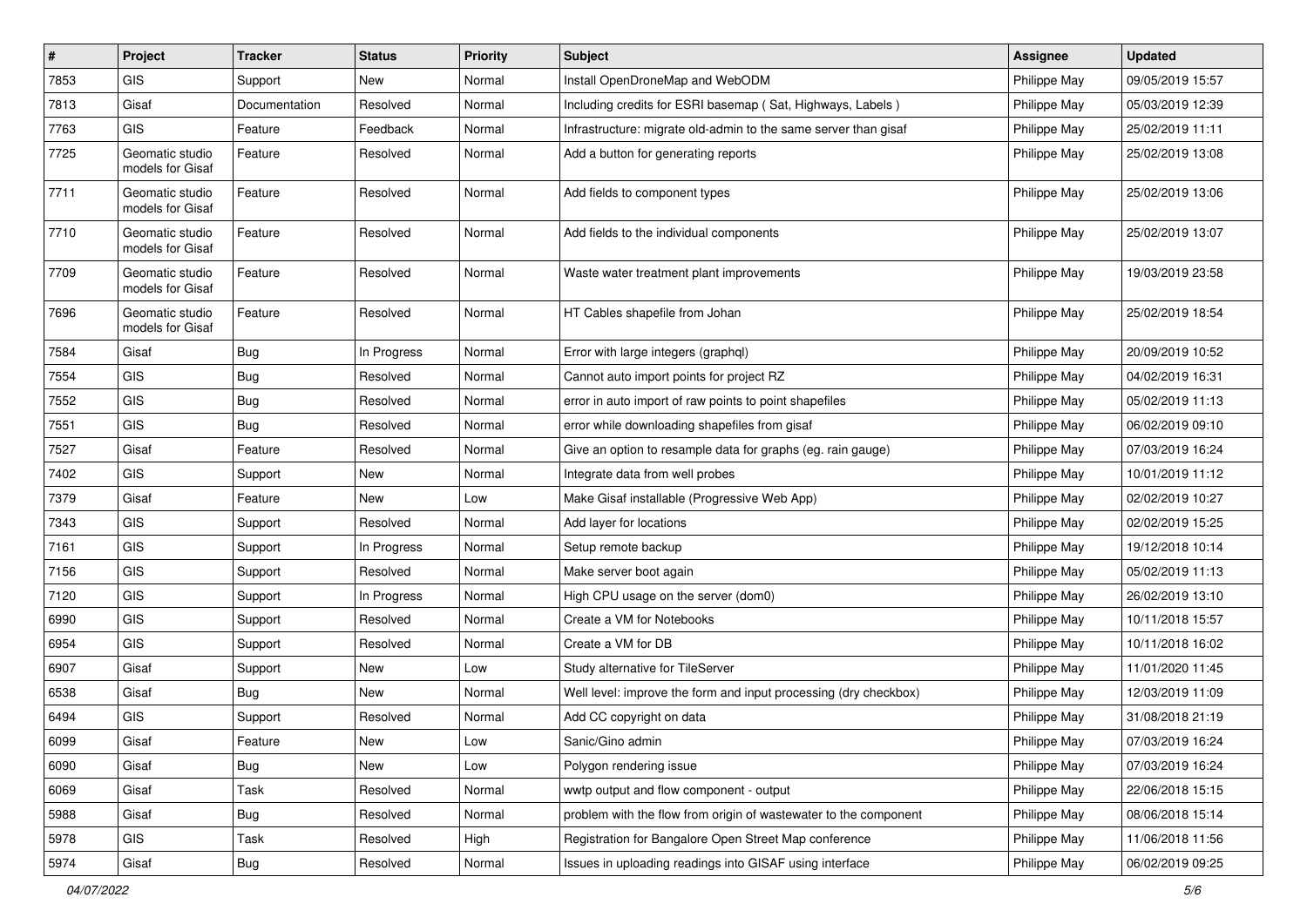| $\vert$ # | Project                             | <b>Tracker</b> | <b>Status</b> | <b>Priority</b> | <b>Subject</b>                                                   | <b>Assignee</b> | <b>Updated</b>   |
|-----------|-------------------------------------|----------------|---------------|-----------------|------------------------------------------------------------------|-----------------|------------------|
| 7853      | <b>GIS</b>                          | Support        | New           | Normal          | Install OpenDroneMap and WebODM                                  | Philippe May    | 09/05/2019 15:57 |
| 7813      | Gisaf                               | Documentation  | Resolved      | Normal          | Including credits for ESRI basemap (Sat, Highways, Labels)       | Philippe May    | 05/03/2019 12:39 |
| 7763      | <b>GIS</b>                          | Feature        | Feedback      | Normal          | Infrastructure: migrate old-admin to the same server than gisaf  | Philippe May    | 25/02/2019 11:11 |
| 7725      | Geomatic studio<br>models for Gisaf | Feature        | Resolved      | Normal          | Add a button for generating reports                              | Philippe May    | 25/02/2019 13:08 |
| 7711      | Geomatic studio<br>models for Gisaf | Feature        | Resolved      | Normal          | Add fields to component types                                    | Philippe May    | 25/02/2019 13:06 |
| 7710      | Geomatic studio<br>models for Gisaf | Feature        | Resolved      | Normal          | Add fields to the individual components                          | Philippe May    | 25/02/2019 13:07 |
| 7709      | Geomatic studio<br>models for Gisaf | Feature        | Resolved      | Normal          | Waste water treatment plant improvements                         | Philippe May    | 19/03/2019 23:58 |
| 7696      | Geomatic studio<br>models for Gisaf | Feature        | Resolved      | Normal          | HT Cables shapefile from Johan                                   | Philippe May    | 25/02/2019 18:54 |
| 7584      | Gisaf                               | Bug            | In Progress   | Normal          | Error with large integers (graphql)                              | Philippe May    | 20/09/2019 10:52 |
| 7554      | GIS                                 | <b>Bug</b>     | Resolved      | Normal          | Cannot auto import points for project RZ                         | Philippe May    | 04/02/2019 16:31 |
| 7552      | GIS                                 | <b>Bug</b>     | Resolved      | Normal          | error in auto import of raw points to point shapefiles           | Philippe May    | 05/02/2019 11:13 |
| 7551      | GIS                                 | Bug            | Resolved      | Normal          | error while downloading shapefiles from gisaf                    | Philippe May    | 06/02/2019 09:10 |
| 7527      | Gisaf                               | Feature        | Resolved      | Normal          | Give an option to resample data for graphs (eg. rain gauge)      | Philippe May    | 07/03/2019 16:24 |
| 7402      | <b>GIS</b>                          | Support        | New           | Normal          | Integrate data from well probes                                  | Philippe May    | 10/01/2019 11:12 |
| 7379      | Gisaf                               | Feature        | New           | Low             | Make Gisaf installable (Progressive Web App)                     | Philippe May    | 02/02/2019 10:27 |
| 7343      | GIS                                 | Support        | Resolved      | Normal          | Add layer for locations                                          | Philippe May    | 02/02/2019 15:25 |
| 7161      | GIS                                 | Support        | In Progress   | Normal          | Setup remote backup                                              | Philippe May    | 19/12/2018 10:14 |
| 7156      | <b>GIS</b>                          | Support        | Resolved      | Normal          | Make server boot again                                           | Philippe May    | 05/02/2019 11:13 |
| 7120      | <b>GIS</b>                          | Support        | In Progress   | Normal          | High CPU usage on the server (dom0)                              | Philippe May    | 26/02/2019 13:10 |
| 6990      | GIS                                 | Support        | Resolved      | Normal          | Create a VM for Notebooks                                        | Philippe May    | 10/11/2018 15:57 |
| 6954      | <b>GIS</b>                          | Support        | Resolved      | Normal          | Create a VM for DB                                               | Philippe May    | 10/11/2018 16:02 |
| 6907      | Gisaf                               | Support        | New           | Low             | Study alternative for TileServer                                 | Philippe May    | 11/01/2020 11:45 |
| 6538      | Gisaf                               | Bug            | New           | Normal          | Well level: improve the form and input processing (dry checkbox) | Philippe May    | 12/03/2019 11:09 |
| 6494      | GIS                                 | Support        | Resolved      | Normal          | Add CC copyright on data                                         | Philippe May    | 31/08/2018 21:19 |
| 6099      | Gisaf                               | Feature        | New           | Low             | Sanic/Gino admin                                                 | Philippe May    | 07/03/2019 16:24 |
| 6090      | Gisaf                               | <b>Bug</b>     | New           | Low             | Polygon rendering issue                                          | Philippe May    | 07/03/2019 16:24 |
| 6069      | Gisaf                               | Task           | Resolved      | Normal          | wwtp output and flow component - output                          | Philippe May    | 22/06/2018 15:15 |
| 5988      | Gisaf                               | Bug            | Resolved      | Normal          | problem with the flow from origin of wastewater to the component | Philippe May    | 08/06/2018 15:14 |
| 5978      | GIS                                 | Task           | Resolved      | High            | Registration for Bangalore Open Street Map conference            | Philippe May    | 11/06/2018 11:56 |
| 5974      | Gisaf                               | Bug            | Resolved      | Normal          | Issues in uploading readings into GISAF using interface          | Philippe May    | 06/02/2019 09:25 |